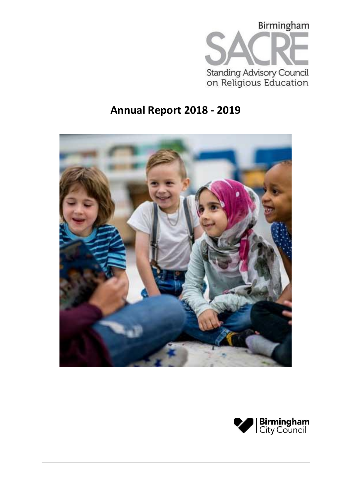

# **Annual Report 2018 - 2019**



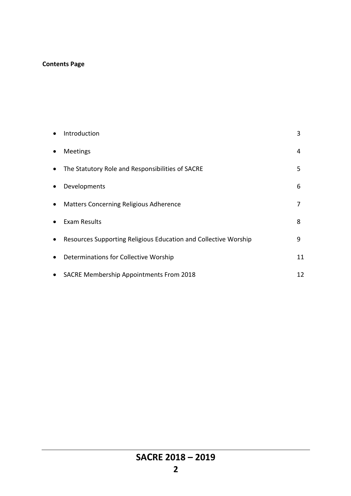# **Contents Page**

| $\bullet$ | Introduction                                                    | 3  |
|-----------|-----------------------------------------------------------------|----|
| $\bullet$ | Meetings                                                        | 4  |
| $\bullet$ | The Statutory Role and Responsibilities of SACRE                | 5  |
| $\bullet$ | Developments                                                    | 6  |
| $\bullet$ | <b>Matters Concerning Religious Adherence</b>                   |    |
| $\bullet$ | Exam Results                                                    | 8  |
| $\bullet$ | Resources Supporting Religious Education and Collective Worship | 9  |
| $\bullet$ | Determinations for Collective Worship                           | 11 |
| $\bullet$ | <b>SACRE Membership Appointments From 2018</b>                  | 12 |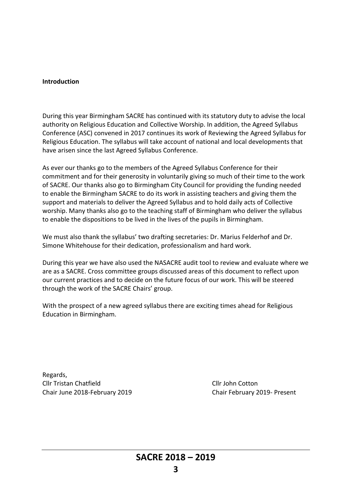#### **Introduction**

During this year Birmingham SACRE has continued with its statutory duty to advise the local authority on Religious Education and Collective Worship. In addition, the Agreed Syllabus Conference (ASC) convened in 2017 continues its work of Reviewing the Agreed Syllabus for Religious Education. The syllabus will take account of national and local developments that have arisen since the last Agreed Syllabus Conference.

As ever our thanks go to the members of the Agreed Syllabus Conference for their commitment and for their generosity in voluntarily giving so much of their time to the work of SACRE. Our thanks also go to Birmingham City Council for providing the funding needed to enable the Birmingham SACRE to do its work in assisting teachers and giving them the support and materials to deliver the Agreed Syllabus and to hold daily acts of Collective worship. Many thanks also go to the teaching staff of Birmingham who deliver the syllabus to enable the dispositions to be lived in the lives of the pupils in Birmingham.

We must also thank the syllabus' two drafting secretaries: Dr. Marius Felderhof and Dr. Simone Whitehouse for their dedication, professionalism and hard work.

During this year we have also used the NASACRE audit tool to review and evaluate where we are as a SACRE. Cross committee groups discussed areas of this document to reflect upon our current practices and to decide on the future focus of our work. This will be steered through the work of the SACRE Chairs' group.

With the prospect of a new agreed syllabus there are exciting times ahead for Religious Education in Birmingham.

Regards, Cllr Tristan Chatfield Cllr John Cotton Chair June 2018-February 2019 Chair February 2019- Present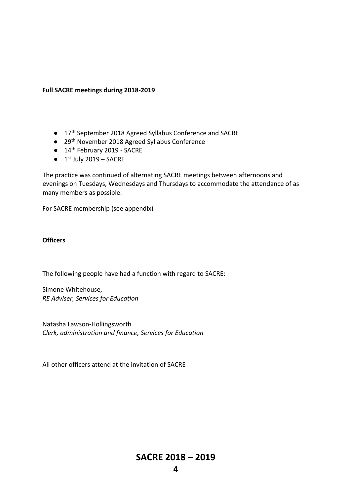## **Full SACRE meetings during 2018-2019**

- 17<sup>th</sup> September 2018 Agreed Syllabus Conference and SACRE
- 29<sup>th</sup> November 2018 Agreed Syllabus Conference
- 14<sup>th</sup> February 2019 SACRE
- $\bullet$  1<sup>st</sup> July 2019 SACRE

The practice was continued of alternating SACRE meetings between afternoons and evenings on Tuesdays, Wednesdays and Thursdays to accommodate the attendance of as many members as possible.

For SACRE membership (see appendix)

## **Officers**

The following people have had a function with regard to SACRE:

Simone Whitehouse, *RE Adviser, Services for Education* 

Natasha Lawson-Hollingsworth *Clerk, administration and finance, Services for Education*

All other officers attend at the invitation of SACRE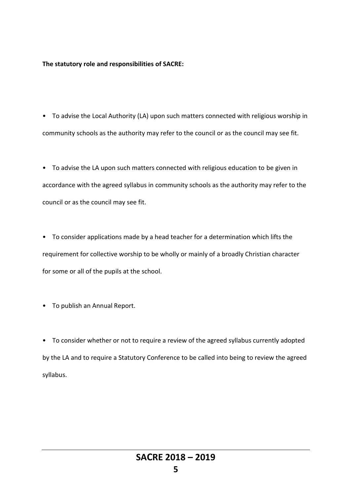## **The statutory role and responsibilities of SACRE:**

• To advise the Local Authority (LA) upon such matters connected with religious worship in community schools as the authority may refer to the council or as the council may see fit.

• To advise the LA upon such matters connected with religious education to be given in accordance with the agreed syllabus in community schools as the authority may refer to the council or as the council may see fit.

• To consider applications made by a head teacher for a determination which lifts the requirement for collective worship to be wholly or mainly of a broadly Christian character for some or all of the pupils at the school.

• To publish an Annual Report.

• To consider whether or not to require a review of the agreed syllabus currently adopted by the LA and to require a Statutory Conference to be called into being to review the agreed syllabus.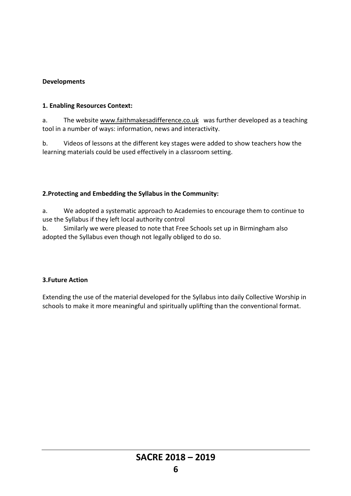# **Developments**

## **1. Enabling Resources Context:**

a. The website [www.faithmakesadifference.co.uk](http://www.faithmakesadifference.co.uk/) was further developed as a teaching tool in a number of ways: information, news and interactivity.

b. Videos of lessons at the different key stages were added to show teachers how the learning materials could be used effectively in a classroom setting.

# **2.Protecting and Embedding the Syllabus in the Community:**

a. We adopted a systematic approach to Academies to encourage them to continue to use the Syllabus if they left local authority control

b. Similarly we were pleased to note that Free Schools set up in Birmingham also adopted the Syllabus even though not legally obliged to do so.

# **3.Future Action**

Extending the use of the material developed for the Syllabus into daily Collective Worship in schools to make it more meaningful and spiritually uplifting than the conventional format.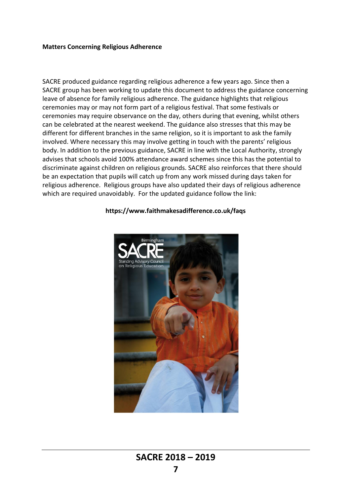#### **Matters Concerning Religious Adherence**

SACRE produced guidance regarding religious adherence a few years ago. Since then a SACRE group has been working to update this document to address the guidance concerning leave of absence for family religious adherence. The guidance highlights that religious ceremonies may or may not form part of a religious festival. That some festivals or ceremonies may require observance on the day, others during that evening, whilst others can be celebrated at the nearest weekend. The guidance also stresses that this may be different for different branches in the same religion, so it is important to ask the family involved. Where necessary this may involve getting in touch with the parents' religious body. In addition to the previous guidance, SACRE in line with the Local Authority, strongly advises that schools avoid 100% attendance award schemes since this has the potential to discriminate against children on religious grounds. SACRE also reinforces that there should be an expectation that pupils will catch up from any work missed during days taken for religious adherence. Religious groups have also updated their days of religious adherence which are required unavoidably. For the updated guidance follow the link:



#### **https://www.faithmakesadifference.co.uk/faqs**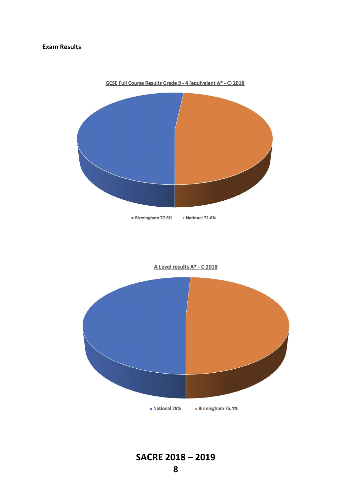#### **Exam Results**



A Level results A\* - C 2018



**SACRE 2018 – 2019**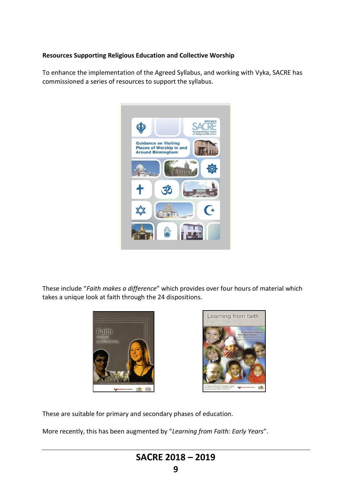# **Resources Supporting Religious Education and Collective Worship**

To enhance the implementation of the Agreed Syllabus, and working with Vyka, SACRE has commissioned a series of resources to support the syllabus.



These include "*Faith makes a difference*" which provides over four hours of material which takes a unique look at faith through the 24 dispositions.





These are suitable for primary and secondary phases of education.

More recently, this has been augmented by "*Learning from Faith: Early Years*".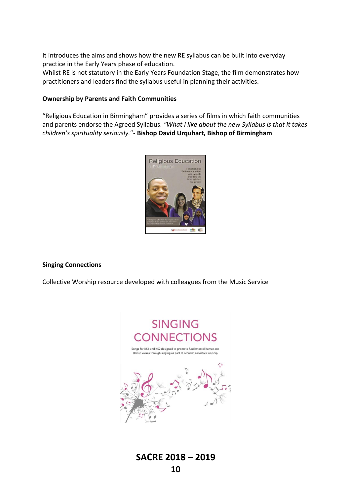It introduces the aims and shows how the new RE syllabus can be built into everyday practice in the Early Years phase of education.

Whilst RE is not statutory in the Early Years Foundation Stage, the film demonstrates how practitioners and leaders find the syllabus useful in planning their activities.

## **Ownership by Parents and Faith Communities**

"Religious Education in Birmingham" provides a series of films in which faith communities and parents endorse the Agreed Syllabus. *"What I like about the new Syllabus is that it takes children's spirituality seriously.*"- **Bishop David Urquhart, Bishop of Birmingham**



## **Singing Connections**

Collective Worship resource developed with colleagues from the Music Service

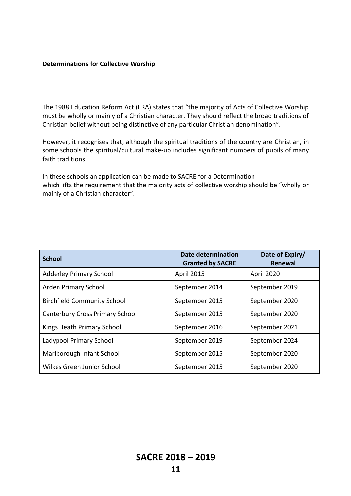## **Determinations for Collective Worship**

The 1988 Education Reform Act (ERA) states that "the majority of Acts of Collective Worship must be wholly or mainly of a Christian character. They should reflect the broad traditions of Christian belief without being distinctive of any particular Christian denomination".

However, it recognises that, although the spiritual traditions of the country are Christian, in some schools the spiritual/cultural make-up includes significant numbers of pupils of many faith traditions.

In these schools an application can be made to SACRE for a Determination which lifts the requirement that the majority acts of collective worship should be "wholly or mainly of a Christian character".

| <b>School</b>                          | <b>Date determination</b><br><b>Granted by SACRE</b> | Date of Expiry/<br>Renewal |
|----------------------------------------|------------------------------------------------------|----------------------------|
| <b>Adderley Primary School</b>         | <b>April 2015</b>                                    | April 2020                 |
| Arden Primary School                   | September 2014                                       | September 2019             |
| <b>Birchfield Community School</b>     | September 2015                                       | September 2020             |
| <b>Canterbury Cross Primary School</b> | September 2015                                       | September 2020             |
| Kings Heath Primary School             | September 2016                                       | September 2021             |
| Ladypool Primary School                | September 2019                                       | September 2024             |
| Marlborough Infant School              | September 2015                                       | September 2020             |
| Wilkes Green Junior School             | September 2015                                       | September 2020             |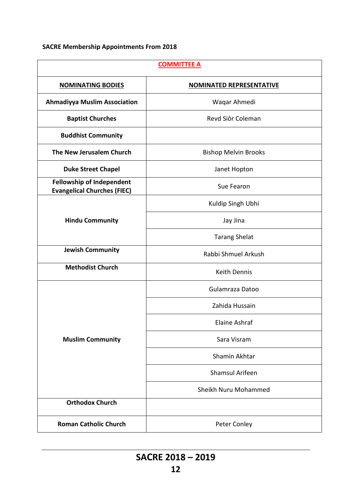# **SACRE Membership Appointments From 2018**

| <b>COMMITTEE A</b>                                                     |                                 |  |
|------------------------------------------------------------------------|---------------------------------|--|
| <b>NOMINATING BODIES</b>                                               | <b>NOMINATED REPRESENTATIVE</b> |  |
| <b>Ahmadiyya Muslim Association</b>                                    | Waqar Ahmedi                    |  |
| <b>Baptist Churches</b>                                                | Revd Siôr Coleman               |  |
| <b>Buddhist Community</b>                                              |                                 |  |
| The New Jerusalem Church                                               | <b>Bishop Melvin Brooks</b>     |  |
| <b>Duke Street Chapel</b>                                              | Janet Hopton                    |  |
| <b>Fellowship of Independent</b><br><b>Evangelical Churches (FIEC)</b> | Sue Fearon                      |  |
|                                                                        | Kuldip Singh Ubhi               |  |
| <b>Hindu Community</b>                                                 | Jay Jina                        |  |
|                                                                        | <b>Tarang Shelat</b>            |  |
| <b>Jewish Community</b>                                                | Rabbi Shmuel Arkush             |  |
| <b>Methodist Church</b>                                                | <b>Keith Dennis</b>             |  |
|                                                                        | Gulamraza Datoo                 |  |
|                                                                        | Zahida Hussain                  |  |
|                                                                        | Elaine Ashraf                   |  |
| <b>Muslim Community</b>                                                | Sara Visram                     |  |
|                                                                        | Shamin Akhtar                   |  |
|                                                                        | <b>Shamsul Arifeen</b>          |  |
|                                                                        | Sheikh Nuru Mohammed            |  |
| <b>Orthodox Church</b>                                                 |                                 |  |
| <b>Roman Catholic Church</b>                                           | Peter Conley                    |  |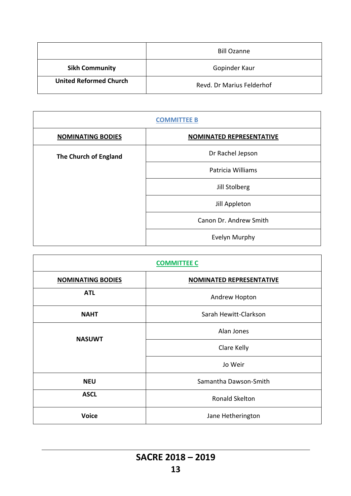|                               | <b>Bill Ozanne</b>        |
|-------------------------------|---------------------------|
| <b>Sikh Community</b>         | Gopinder Kaur             |
| <b>United Reformed Church</b> | Revd. Dr Marius Felderhof |

| <b>COMMITTEE B</b>       |                          |  |
|--------------------------|--------------------------|--|
| <b>NOMINATING BODIES</b> | NOMINATED REPRESENTATIVE |  |
| The Church of England    | Dr Rachel Jepson         |  |
|                          | Patricia Williams        |  |
|                          | Jill Stolberg            |  |
|                          | Jill Appleton            |  |
|                          | Canon Dr. Andrew Smith   |  |
|                          | Evelyn Murphy            |  |

| <b>COMMITTEE C</b>       |                                 |  |
|--------------------------|---------------------------------|--|
| <b>NOMINATING BODIES</b> | <b>NOMINATED REPRESENTATIVE</b> |  |
| <b>ATL</b>               | Andrew Hopton                   |  |
| <b>NAHT</b>              | Sarah Hewitt-Clarkson           |  |
| <b>NASUWT</b>            | Alan Jones                      |  |
|                          | Clare Kelly                     |  |
|                          | Jo Weir                         |  |
| <b>NEU</b>               | Samantha Dawson-Smith           |  |
| <b>ASCL</b>              | Ronald Skelton                  |  |
| <b>Voice</b>             | Jane Hetherington               |  |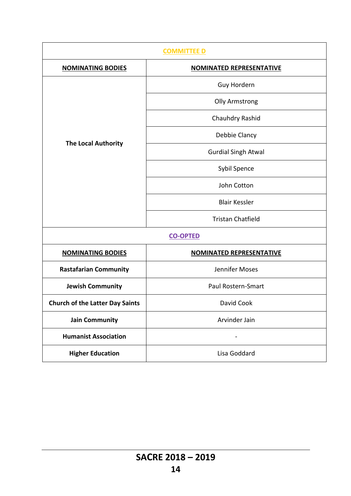| <b>COMMITTEE D</b>                     |                                 |  |
|----------------------------------------|---------------------------------|--|
| <b>NOMINATING BODIES</b>               | <b>NOMINATED REPRESENTATIVE</b> |  |
|                                        | Guy Hordern                     |  |
|                                        | <b>Olly Armstrong</b>           |  |
|                                        | Chauhdry Rashid                 |  |
|                                        | Debbie Clancy                   |  |
| <b>The Local Authority</b>             | <b>Gurdial Singh Atwal</b>      |  |
|                                        | Sybil Spence                    |  |
|                                        | John Cotton                     |  |
|                                        | <b>Blair Kessler</b>            |  |
|                                        | <b>Tristan Chatfield</b>        |  |
| <b>CO-OPTED</b>                        |                                 |  |
| <b>NOMINATING BODIES</b>               | <b>NOMINATED REPRESENTATIVE</b> |  |
| <b>Rastafarian Community</b>           | Jennifer Moses                  |  |
| <b>Jewish Community</b>                | Paul Rostern-Smart              |  |
| <b>Church of the Latter Day Saints</b> | David Cook                      |  |
| <b>Jain Community</b>                  | Arvinder Jain                   |  |
| <b>Humanist Association</b>            | -                               |  |
| <b>Higher Education</b>                | Lisa Goddard                    |  |